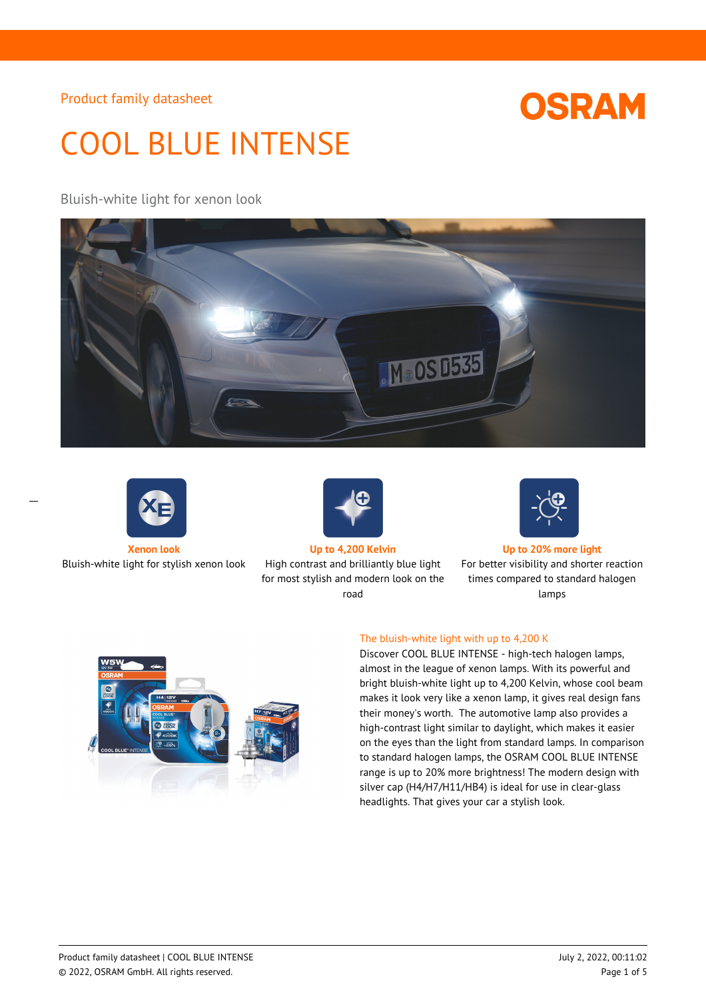# COOL BLUE INTENSE

Bluish-white light for xenon look





 $\overline{a}$ 

Bluish-white light for stylish xenon look High contrast and brilliantly blue light



**Xenon look Up to 4,200 Kelvin Up to 20% more light** for most stylish and modern look on the

road



**OSRAM** 

For better visibility and shorter reaction times compared to standard halogen lamps



## The bluish-white light with up to 4,200 K

Discover COOL BLUE INTENSE - high-tech halogen lamps, almost in the league of xenon lamps. With its powerful and bright bluish-white light up to 4,200 Kelvin, whose cool beam makes it look very like a xenon lamp, it gives real design fans their money's worth. The automotive lamp also provides a high-contrast light similar to daylight, which makes it easier on the eyes than the light from standard lamps. In comparison to standard halogen lamps, the OSRAM COOL BLUE INTENSE range is up to 20% more brightness! The modern design with silver cap (H4/H7/H11/HB4) is ideal for use in clear-glass headlights. That gives your car a stylish look.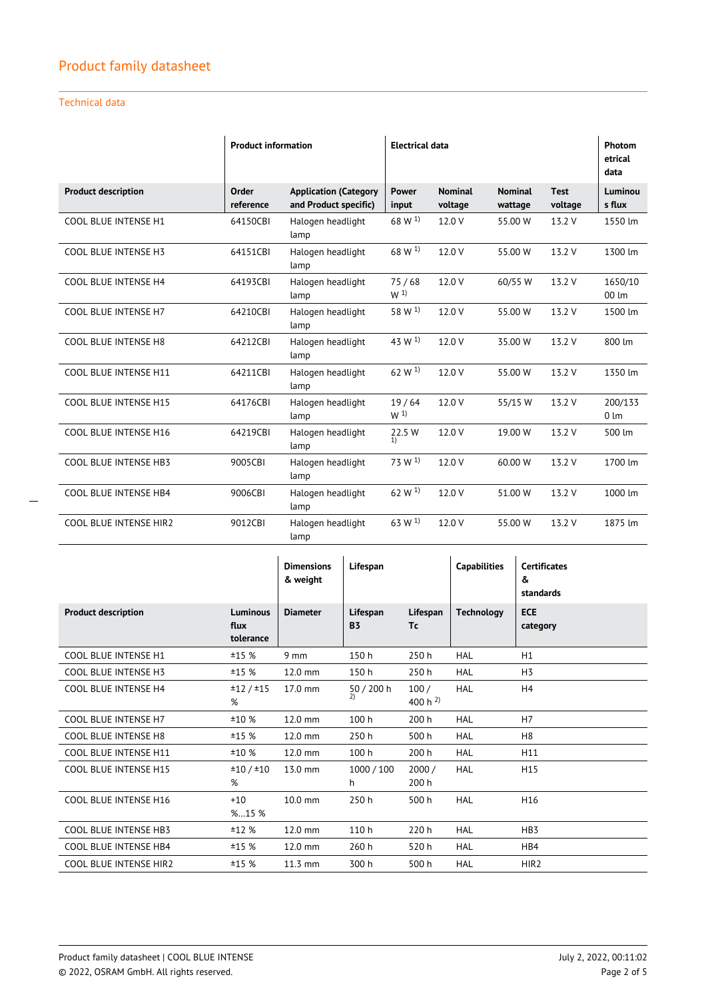## Technical data

|                               | <b>Product information</b> |                                                       | <b>Electrical data</b>  |                           |                           |                        | Photom<br>etrical<br>data   |
|-------------------------------|----------------------------|-------------------------------------------------------|-------------------------|---------------------------|---------------------------|------------------------|-----------------------------|
| <b>Product description</b>    | Order<br>reference         | <b>Application (Category</b><br>and Product specific) | <b>Power</b><br>input   | <b>Nominal</b><br>voltage | <b>Nominal</b><br>wattage | <b>Test</b><br>voltage | Luminou<br>s flux           |
| <b>COOL BLUE INTENSE H1</b>   | 64150CBI                   | Halogen headlight<br>lamp                             | 68 W <sup>1)</sup>      | 12.0 V                    | 55.00 W                   | 13.2 V                 | 1550 lm                     |
| <b>COOL BLUE INTENSE H3</b>   | 64151CBI                   | Halogen headlight<br>lamp                             | $68 W^{1}$              | 12.0 V                    | 55.00 W                   | 13.2 V                 | 1300 lm                     |
| <b>COOL BLUE INTENSE H4</b>   | 64193CBI                   | Halogen headlight<br>lamp                             | 75/68<br>W <sup>1</sup> | 12.0 V                    | 60/55 W                   | 13.2 V                 | 1650/10<br>00 lm            |
| <b>COOL BLUE INTENSE H7</b>   | 64210CBI                   | Halogen headlight<br>lamp                             | 58 W <sup>1)</sup>      | 12.0 V                    | 55.00 W                   | 13.2 V                 | 1500 lm                     |
| <b>COOL BLUE INTENSE H8</b>   | 64212CBI                   | Halogen headlight<br>lamp                             | 43 W <sup>1</sup>       | 12.0 V                    | 35.00 W                   | 13.2 V                 | 800 lm                      |
| COOL BLUE INTENSE H11         | 64211CBI                   | Halogen headlight<br>lamp                             | 62 W <sup>1)</sup>      | 12.0 V                    | 55.00 W                   | 13.2 V                 | 1350 lm                     |
| COOL BLUE INTENSE H15         | 64176CBI                   | Halogen headlight<br>lamp                             | 19/64<br>W <sup>1</sup> | 12.0 V                    | 55/15 W                   | 13.2 V                 | 200/133<br>$0 \, \text{Im}$ |
| COOL BLUE INTENSE H16         | 64219CBI                   | Halogen headlight<br>lamp                             | 22.5 W<br>1)            | 12.0 V                    | 19.00 W                   | 13.2 V                 | 500 lm                      |
| COOL BLUE INTENSE HB3         | 9005CBI                    | Halogen headlight<br>lamp                             | 73 W <sup>1</sup>       | 12.0 V                    | 60.00 W                   | 13.2 V                 | 1700 lm                     |
| COOL BLUE INTENSE HB4         | 9006CBI                    | Halogen headlight<br>lamp                             | 62 W $^{1)}$            | 12.0 V                    | 51.00 W                   | 13.2 V                 | 1000 lm                     |
| <b>COOL BLUE INTENSE HIR2</b> | 9012CBI                    | Halogen headlight<br>lamp                             | 63 W <sup>1</sup>       | 12.0 V                    | 55.00 W                   | 13.2 V                 | 1875 lm                     |

|                               |                               | <b>Dimensions</b><br>& weight | Lifespan              |                      | <b>Capabilities</b> | <b>Certificates</b><br>&<br>standards |
|-------------------------------|-------------------------------|-------------------------------|-----------------------|----------------------|---------------------|---------------------------------------|
| <b>Product description</b>    | Luminous<br>flux<br>tolerance | <b>Diameter</b>               | Lifespan<br><b>B3</b> | Lifespan<br>Tc       | <b>Technology</b>   | <b>ECE</b><br>category                |
| <b>COOL BLUE INTENSE H1</b>   | ±15 %                         | $9 \, \text{mm}$              | 150h                  | 250h                 | <b>HAL</b>          | H1                                    |
| COOL BLUE INTENSE H3          | ±15 %                         | 12.0 mm                       | 150h                  | 250h                 | <b>HAL</b>          | H <sub>3</sub>                        |
| <b>COOL BLUE INTENSE H4</b>   | ±12/±15<br>%                  | 17.0 mm                       | 50 / 200 h<br>2)      | 100/<br>400 h $^{2}$ | <b>HAL</b>          | H4                                    |
| <b>COOL BLUE INTENSE H7</b>   | ±10 %                         | 12.0 mm                       | 100 h                 | 200 h                | <b>HAL</b>          | H7                                    |
| <b>COOL BLUE INTENSE H8</b>   | ±15 %                         | 12.0 mm                       | 250 h                 | 500 h                | <b>HAL</b>          | H <sub>8</sub>                        |
| <b>COOL BLUE INTENSE H11</b>  | ±10%                          | 12.0 mm                       | 100 h                 | 200 h                | <b>HAL</b>          | H11                                   |
| <b>COOL BLUE INTENSE H15</b>  | ±10/±10<br>%                  | 13.0 mm                       | 1000 / 100<br>h       | 2000 /<br>200 h      | <b>HAL</b>          | H <sub>15</sub>                       |
| <b>COOL BLUE INTENSE H16</b>  | $+10$<br>%15 %                | 10.0 mm                       | 250h                  | 500 h                | <b>HAL</b>          | H16                                   |
| <b>COOL BLUE INTENSE HB3</b>  | ±12 %                         | 12.0 mm                       | 110 h                 | 220 h                | <b>HAL</b>          | HB <sub>3</sub>                       |
| <b>COOL BLUE INTENSE HB4</b>  | ±15%                          | 12.0 mm                       | 260h                  | 520h                 | <b>HAL</b>          | HB4                                   |
| <b>COOL BLUE INTENSE HIR2</b> | ±15%                          | 11.3 mm                       | 300 h                 | 500 h                | <b>HAL</b>          | HIR <sub>2</sub>                      |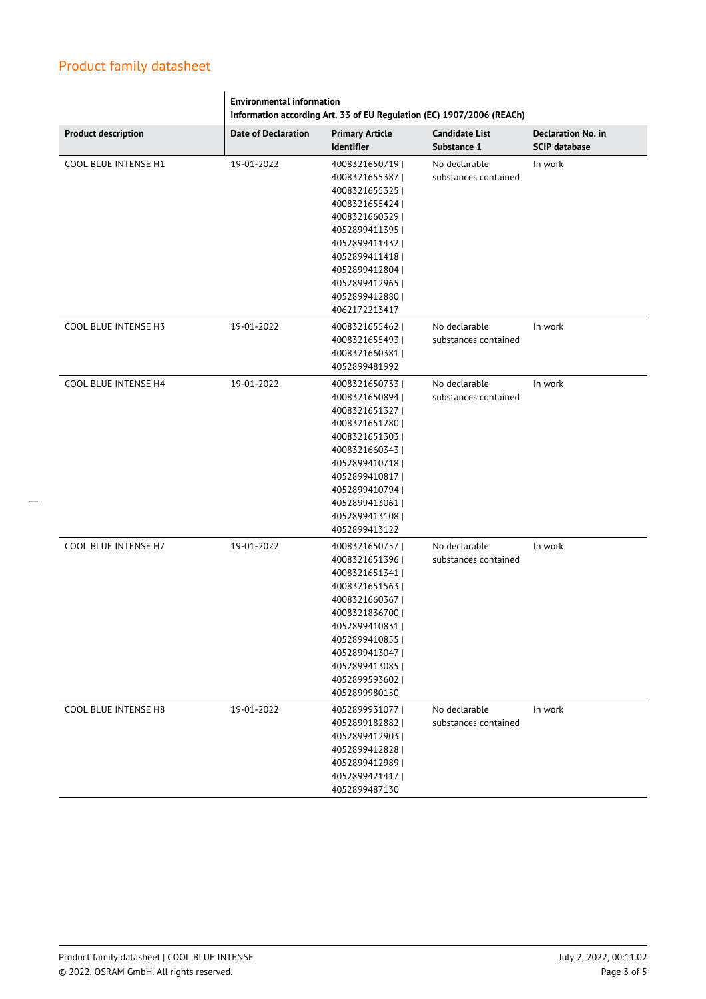|                             | <b>Environmental information</b><br>Information according Art. 33 of EU Regulation (EC) 1907/2006 (REACh) |                                                                                                                                                                                                                        |                                       |                                                   |  |
|-----------------------------|-----------------------------------------------------------------------------------------------------------|------------------------------------------------------------------------------------------------------------------------------------------------------------------------------------------------------------------------|---------------------------------------|---------------------------------------------------|--|
| <b>Product description</b>  | <b>Date of Declaration</b>                                                                                | <b>Primary Article</b><br><b>Identifier</b>                                                                                                                                                                            | <b>Candidate List</b><br>Substance 1  | <b>Declaration No. in</b><br><b>SCIP database</b> |  |
| COOL BLUE INTENSE H1        | 19-01-2022                                                                                                | 4008321650719  <br>4008321655387<br>4008321655325<br>4008321655424<br>4008321660329<br>4052899411395  <br>4052899411432<br>4052899411418<br>4052899412804  <br>4052899412965<br>4052899412880  <br>4062172213417       | No declarable<br>substances contained | In work                                           |  |
| <b>COOL BLUE INTENSE H3</b> | 19-01-2022                                                                                                | 4008321655462  <br>4008321655493<br>4008321660381  <br>4052899481992                                                                                                                                                   | No declarable<br>substances contained | In work                                           |  |
| <b>COOL BLUE INTENSE H4</b> | 19-01-2022                                                                                                | 4008321650733  <br>4008321650894<br>4008321651327  <br>4008321651280  <br>4008321651303  <br>4008321660343<br>4052899410718<br>4052899410817  <br>4052899410794<br>4052899413061  <br>4052899413108  <br>4052899413122 | No declarable<br>substances contained | In work                                           |  |
| COOL BLUE INTENSE H7        | 19-01-2022                                                                                                | 4008321650757<br>4008321651396<br>4008321651341  <br>4008321651563<br>4008321660367<br>4008321836700<br>4052899410831  <br>4052899410855<br>4052899413047  <br>4052899413085  <br>4052899593602  <br>4052899980150     | No declarable<br>substances contained | In work                                           |  |
| COOL BLUE INTENSE H8        | 19-01-2022                                                                                                | 4052899931077  <br>4052899182882<br>4052899412903  <br>4052899412828<br>4052899412989  <br>4052899421417  <br>4052899487130                                                                                            | No declarable<br>substances contained | In work                                           |  |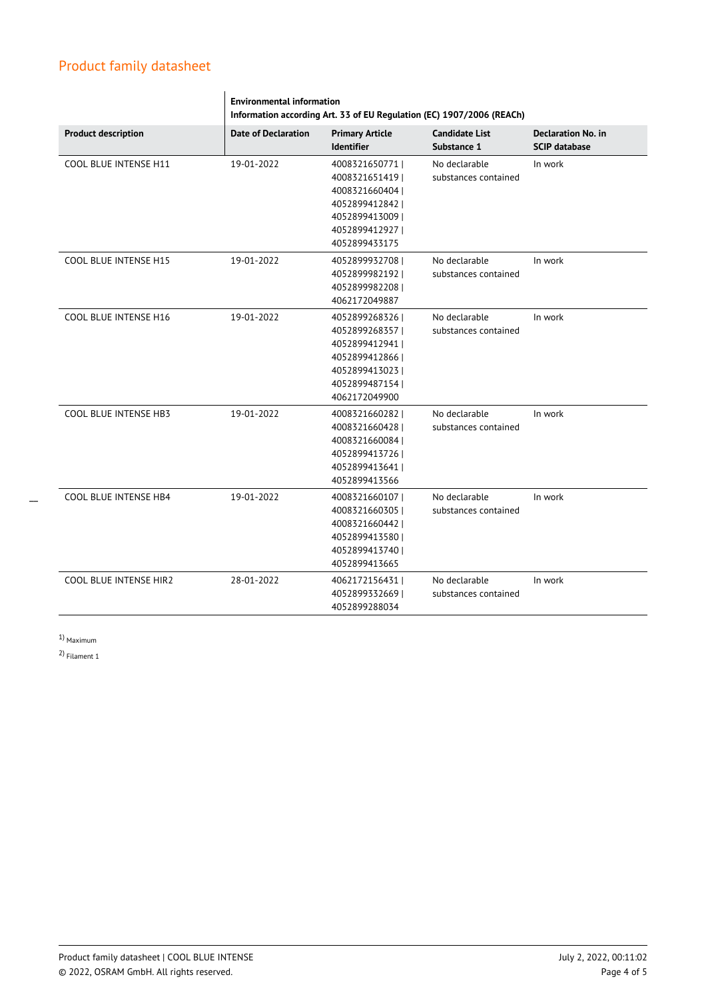|                               | <b>Environmental information</b><br>Information according Art. 33 of EU Regulation (EC) 1907/2006 (REACh) |                                                                                                                             |                                       |                                                   |  |
|-------------------------------|-----------------------------------------------------------------------------------------------------------|-----------------------------------------------------------------------------------------------------------------------------|---------------------------------------|---------------------------------------------------|--|
| <b>Product description</b>    | <b>Date of Declaration</b>                                                                                | <b>Primary Article</b><br><b>Identifier</b>                                                                                 | <b>Candidate List</b><br>Substance 1  | <b>Declaration No. in</b><br><b>SCIP database</b> |  |
| COOL BLUE INTENSE H11         | 19-01-2022                                                                                                | 4008321650771  <br>4008321651419<br>4008321660404<br>4052899412842  <br>40528994130091<br>4052899412927  <br>4052899433175  | No declarable<br>substances contained | In work                                           |  |
| COOL BLUE INTENSE H15         | 19-01-2022                                                                                                | 4052899932708  <br>40528999821921<br>4052899982208  <br>4062172049887                                                       | No declarable<br>substances contained | In work                                           |  |
| <b>COOL BLUE INTENSE H16</b>  | 19-01-2022                                                                                                | 4052899268326  <br>4052899268357  <br>4052899412941  <br>4052899412866  <br>4052899413023<br>4052899487154<br>4062172049900 | No declarable<br>substances contained | In work                                           |  |
| COOL BLUE INTENSE HB3         | 19-01-2022                                                                                                | 4008321660282  <br>4008321660428<br>4008321660084<br>4052899413726<br>4052899413641  <br>4052899413566                      | No declarable<br>substances contained | In work                                           |  |
| COOL BLUE INTENSE HB4         | 19-01-2022                                                                                                | 4008321660107  <br>4008321660305<br>4008321660442<br>4052899413580<br>4052899413740<br>4052899413665                        | No declarable<br>substances contained | In work                                           |  |
| <b>COOL BLUE INTENSE HIR2</b> | 28-01-2022                                                                                                | 4062172156431  <br>40528993326691<br>4052899288034                                                                          | No declarable<br>substances contained | In work                                           |  |

1) Maximum

\_\_

2) Filament 1